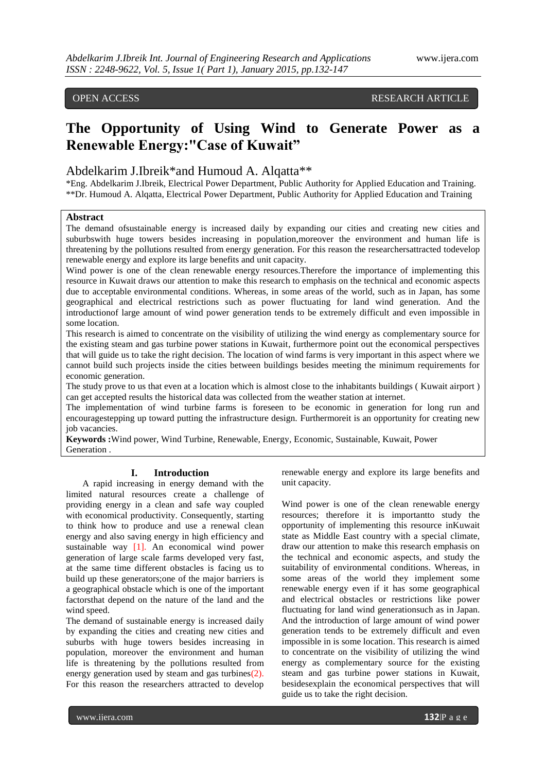# OPEN ACCESS **RESEARCH ARTICLE**

# **The Opportunity of Using Wind to Generate Power as a Renewable Energy:"Case of Kuwait"**

# Abdelkarim J.Ibreik\*and Humoud A. Alqatta\*\*

\*Eng. Abdelkarim J.Ibreik, Electrical Power Department, Public Authority for Applied Education and Training. \*\*Dr. Humoud A. Alqatta, Electrical Power Department, Public Authority for Applied Education and Training

# **Abstract**

The demand ofsustainable energy is increased daily by expanding our cities and creating new cities and suburbswith huge towers besides increasing in population,moreover the environment and human life is threatening by the pollutions resulted from energy generation. For this reason the researchersattracted todevelop renewable energy and explore its large benefits and unit capacity.

Wind power is one of the clean renewable energy resources.Therefore the importance of implementing this resource in Kuwait draws our attention to make this research to emphasis on the technical and economic aspects due to acceptable environmental conditions. Whereas, in some areas of the world, such as in Japan, has some geographical and electrical restrictions such as power fluctuating for land wind generation. And the introductionof large amount of wind power generation tends to be extremely difficult and even impossible in some location.

This research is aimed to concentrate on the visibility of utilizing the wind energy as complementary source for the existing steam and gas turbine power stations in Kuwait, furthermore point out the economical perspectives that will guide us to take the right decision. The location of wind farms is very important in this aspect where we cannot build such projects inside the cities between buildings besides meeting the minimum requirements for economic generation.

The study prove to us that even at a location which is almost close to the inhabitants buildings ( Kuwait airport ) can get accepted results the historical data was collected from the weather station at internet.

The implementation of wind turbine farms is foreseen to be economic in generation for long run and encouragestepping up toward putting the infrastructure design. Furthermoreit is an opportunity for creating new job vacancies.

**Keywords :**Wind power, Wind Turbine, Renewable, Energy, Economic, Sustainable, Kuwait, Power Generation .

#### **I. Introduction**

A rapid increasing in energy demand with the limited natural resources create a challenge of providing energy in a clean and safe way coupled with economical productivity. Consequently, starting to think how to produce and use a renewal clean energy and also saving energy in high efficiency and sustainable way [1]. An economical wind power generation of large scale farms developed very fast, at the same time different obstacles is facing us to build up these generators;one of the major barriers is a geographical obstacle which is one of the important factorsthat depend on the nature of the land and the wind speed.

The demand of sustainable energy is increased daily by expanding the cities and creating new cities and suburbs with huge towers besides increasing in population, moreover the environment and human life is threatening by the pollutions resulted from energy generation used by steam and gas turbines(2). For this reason the researchers attracted to develop

renewable energy and explore its large benefits and unit capacity.

Wind power is one of the clean renewable energy resources; therefore it is importantto study the opportunity of implementing this resource inKuwait state as Middle East country with a special climate, draw our attention to make this research emphasis on the technical and economic aspects, and study the suitability of environmental conditions. Whereas, in some areas of the world they implement some renewable energy even if it has some geographical and electrical obstacles or restrictions like power fluctuating for land wind generationsuch as in Japan. And the introduction of large amount of wind power generation tends to be extremely difficult and even impossible in is some location. This research is aimed to concentrate on the visibility of utilizing the wind energy as complementary source for the existing steam and gas turbine power stations in Kuwait, besidesexplain the economical perspectives that will guide us to take the right decision.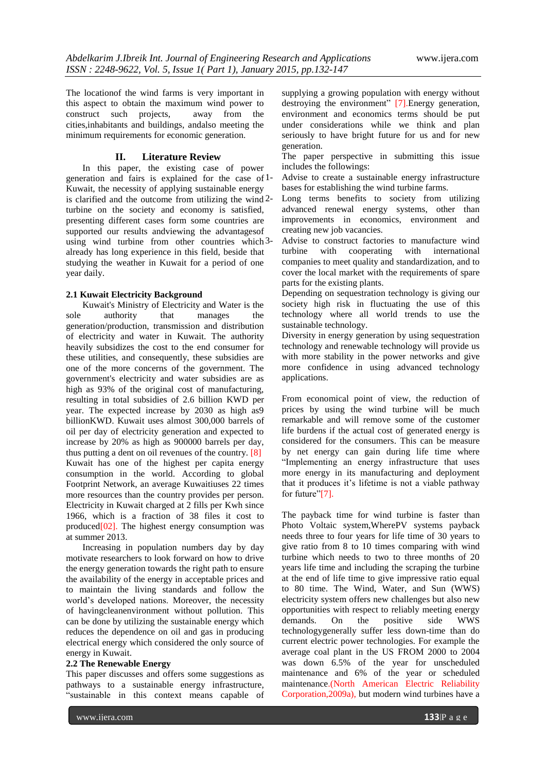The locationof the wind farms is very important in this aspect to obtain the maximum wind power to construct such projects, away from the cities,inhabitants and buildings, andalso meeting the minimum requirements for economic generation.

## **II. Literature Review**

In this paper, the existing case of power generation and fairs is explained for the case of Kuwait, the necessity of applying sustainable energy is clarified and the outcome from utilizing the wind 2turbine on the society and economy is satisfied, presenting different cases form some countries are supported our results andviewing the advantagesof using wind turbine from other countries which 3already has long experience in this field, beside that studying the weather in Kuwait for a period of one year daily.

#### **2.1 Kuwait Electricity Background**

Kuwait's Ministry of Electricity and Water is the sole authority that manages the generation/production, transmission and distribution of electricity and water in Kuwait. The authority heavily subsidizes the cost to the end consumer for these utilities, and consequently, these subsidies are one of the more concerns of the government. The government's electricity and water subsidies are as high as 93% of the original cost of manufacturing, resulting in total subsidies of 2.6 billion KWD per year. The expected increase by 2030 as high as9 billionKWD. Kuwait uses almost 300,000 barrels of oil per day of electricity generation and expected to increase by 20% as high as 900000 barrels per day, thus putting a dent on oil revenues of the country. [8] Kuwait has one of the highest per capita energy consumption in the world. According to global Footprint Network, an average Kuwaitiuses 22 times more resources than the country provides per person. Electricity in Kuwait charged at 2 fills per Kwh since 1966, which is a fraction of 38 files it cost to produced[02]. The highest energy consumption was at summer 2013.

Increasing in population numbers day by day motivate researchers to look forward on how to drive the energy generation towards the right path to ensure the availability of the energy in acceptable prices and to maintain the living standards and follow the world's developed nations. Moreover, the necessity of havingcleanenvironment without pollution. This can be done by utilizing the sustainable energy which reduces the dependence on oil and gas in producing electrical energy which considered the only source of energy in Kuwait.

#### **2.2 The Renewable Energy**

This paper discusses and offers some suggestions as pathways to a sustainable energy infrastructure, "sustainable in this context means capable of supplying a growing population with energy without destroying the environment" [7]. Energy generation, environment and economics terms should be put under considerations while we think and plan seriously to have bright future for us and for new generation.

The paper perspective in submitting this issue includes the followings:

Advise to create a sustainable energy infrastructure bases for establishing the wind turbine farms.

Long terms benefits to society from utilizing advanced renewal energy systems, other than improvements in economics, environment and creating new job vacancies.

Advise to construct factories to manufacture wind turbine with cooperating with international companies to meet quality and standardization, and to cover the local market with the requirements of spare parts for the existing plants.

Depending on sequestration technology is giving our society high risk in fluctuating the use of this technology where all world trends to use the sustainable technology.

Diversity in energy generation by using sequestration technology and renewable technology will provide us with more stability in the power networks and give more confidence in using advanced technology applications.

From economical point of view, the reduction of prices by using the wind turbine will be much remarkable and will remove some of the customer life burdens if the actual cost of generated energy is considered for the consumers. This can be measure by net energy can gain during life time where "Implementing an energy infrastructure that uses more energy in its manufacturing and deployment that it produces it's lifetime is not a viable pathway for future"[7].

The payback time for wind turbine is faster than Photo Voltaic system,WherePV systems payback needs three to four years for life time of 30 years to give ratio from 8 to 10 times comparing with wind turbine which needs to two to three months of 20 years life time and including the scraping the turbine at the end of life time to give impressive ratio equal to 80 time. The Wind, Water, and Sun (WWS) electricity system offers new challenges but also new opportunities with respect to reliably meeting energy demands. On the positive side WWS technologygenerally suffer less down-time than do current electric power technologies. For example the average coal plant in the US FROM 2000 to 2004 was down 6.5% of the year for unscheduled maintenance and 6% of the year or scheduled maintenance.(North American Electric Reliability Corporation,2009a), but modern wind turbines have a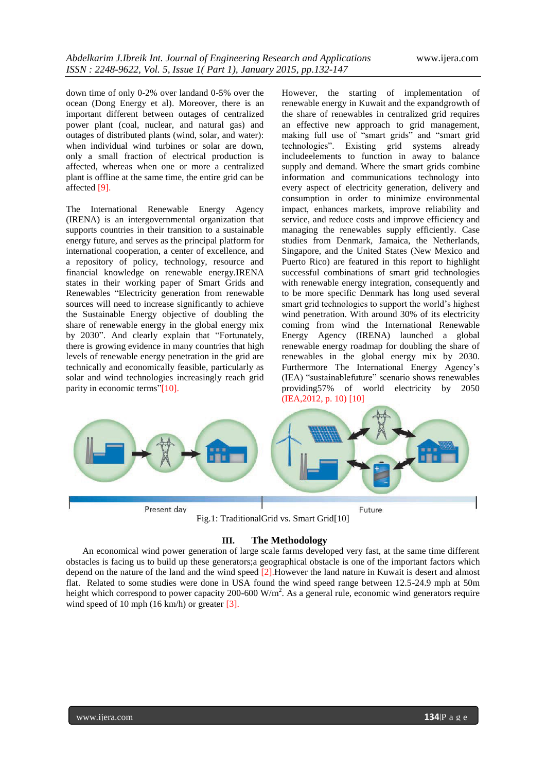down time of only 0-2% over landand 0-5% over the ocean (Dong Energy et al). Moreover, there is an important different between outages of centralized power plant (coal, nuclear, and natural gas) and outages of distributed plants (wind, solar, and water): when individual wind turbines or solar are down, only a small fraction of electrical production is affected, whereas when one or more a centralized plant is offline at the same time, the entire grid can be affected [9].

The International Renewable Energy Agency (IRENA) is an intergovernmental organization that supports countries in their transition to a sustainable energy future, and serves as the principal platform for international cooperation, a center of excellence, and a repository of policy, technology, resource and financial knowledge on renewable energy.IRENA states in their working paper of Smart Grids and Renewables "Electricity generation from renewable sources will need to increase significantly to achieve the Sustainable Energy objective of doubling the share of renewable energy in the global energy mix by 2030". And clearly explain that "Fortunately, there is growing evidence in many countries that high levels of renewable energy penetration in the grid are technically and economically feasible, particularly as solar and wind technologies increasingly reach grid parity in economic terms"[10].

However, the starting of implementation of renewable energy in Kuwait and the expandgrowth of the share of renewables in centralized grid requires an effective new approach to grid management, making full use of "smart grids" and "smart grid technologies". Existing grid systems already includeelements to function in away to balance supply and demand. Where the smart grids combine information and communications technology into every aspect of electricity generation, delivery and consumption in order to minimize environmental impact, enhances markets, improve reliability and service, and reduce costs and improve efficiency and managing the renewables supply efficiently. Case studies from Denmark, Jamaica, the Netherlands, Singapore, and the United States (New Mexico and Puerto Rico) are featured in this report to highlight successful combinations of smart grid technologies with renewable energy integration, consequently and to be more specific Denmark has long used several smart grid technologies to support the world's highest wind penetration. With around 30% of its electricity coming from wind the International Renewable Energy Agency (IRENA) launched a global renewable energy roadmap for doubling the share of renewables in the global energy mix by 2030. Furthermore The International Energy Agency's (IEA) "sustainablefuture" scenario shows renewables providing57% of world electricity by 2050 (IEA,2012, p. 10) [10]



# **III. The Methodology**

An economical wind power generation of large scale farms developed very fast, at the same time different obstacles is facing us to build up these generators;a geographical obstacle is one of the important factors which depend on the nature of the land and the wind speed [2].However the land nature in Kuwait is desert and almost flat. Related to some studies were done in USA found the wind speed range between 12.5-24.9 mph at 50m height which correspond to power capacity 200-600 W/m<sup>2</sup>. As a general rule, economic wind generators require wind speed of 10 mph (16 km/h) or greater  $\lceil 3 \rceil$ .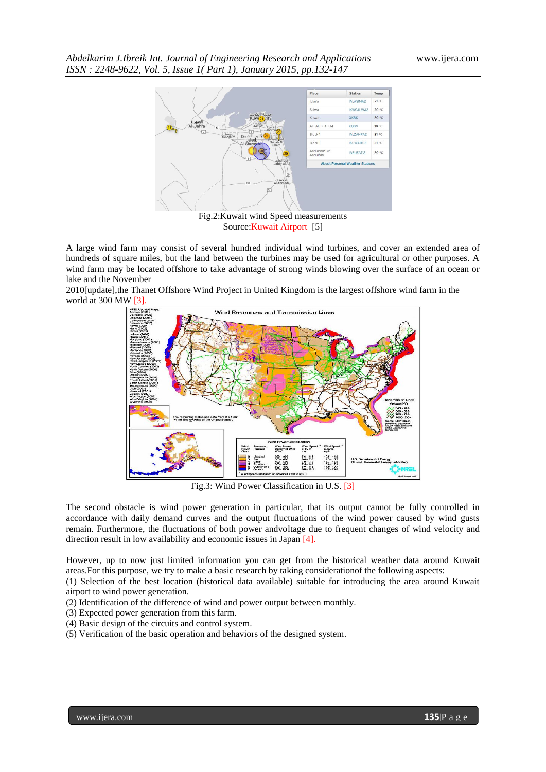

Fig.2:Kuwait wind Speed measurements Source:Kuwait Airport [5]

A large wind farm may consist of several hundred individual wind turbines, and cover an extended area of hundreds of square miles, but the land between the turbines may be used for agricultural or other purposes. A wind farm may be located offshore to take advantage of strong winds blowing over the surface of an ocean or lake and the November

2010[update],the Thanet Offshore Wind Project in United Kingdom is the largest offshore wind farm in the world at 300 MW [3].



Fig.3: Wind Power Classification in U.S. [3]

The second obstacle is wind power generation in particular, that its output cannot be fully controlled in accordance with daily demand curves and the output fluctuations of the wind power caused by wind gusts remain. Furthermore, the fluctuations of both power andvoltage due to frequent changes of wind velocity and direction result in low availability and economic issues in Japan [4].

However, up to now just limited information you can get from the historical weather data around Kuwait areas.For this purpose, we try to make a basic research by taking considerationof the following aspects:

(1) Selection of the best location (historical data available) suitable for introducing the area around Kuwait airport to wind power generation.

(2) Identification of the difference of wind and power output between monthly.

(3) Expected power generation from this farm.

(4) Basic design of the circuits and control system.

(5) Verification of the basic operation and behaviors of the designed system.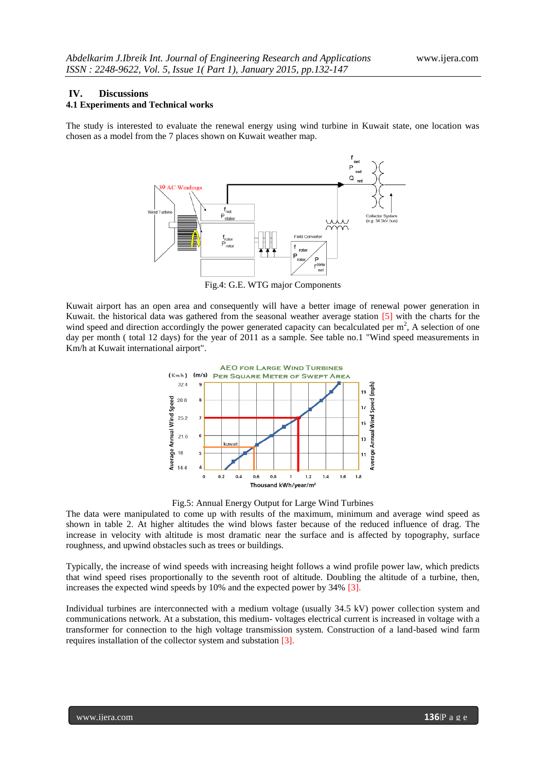# **IV. Discussions 4.1 Experiments and Technical works**

The study is interested to evaluate the renewal energy using wind turbine in Kuwait state, one location was chosen as a model from the 7 places shown on Kuwait weather map.



Fig.4: G.E. WTG major Components

Kuwait airport has an open area and consequently will have a better image of renewal power generation in Kuwait. the historical data was gathered from the seasonal weather average station [5] with the charts for the wind speed and direction accordingly the power generated capacity can becalculated per  $m<sup>2</sup>$ , A selection of one day per month ( total 12 days) for the year of 2011 as a sample. See table no.1 "Wind speed measurements in Km/h at Kuwait international airport".



Fig.5: Annual Energy Output for Large Wind Turbines

The data were manipulated to come up with results of the maximum, minimum and average wind speed as shown in table 2. At higher altitudes the wind blows faster because of the reduced influence of drag. The increase in velocity with altitude is most dramatic near the surface and is affected by topography, surface roughness, and upwind obstacles such as trees or buildings.

Typically, the increase of wind speeds with increasing height follows a wind profile power law, which predicts that wind speed rises proportionally to the seventh root of altitude. Doubling the altitude of a turbine, then, increases the expected wind speeds by 10% and the expected power by 34% [3].

Individual turbines are interconnected with a medium voltage (usually 34.5 kV) power collection system and communications network. At a substation, this medium- voltages electrical current is increased in voltage with a transformer for connection to the high voltage transmission system. Construction of a land-based wind farm requires installation of the collector system and substation [3].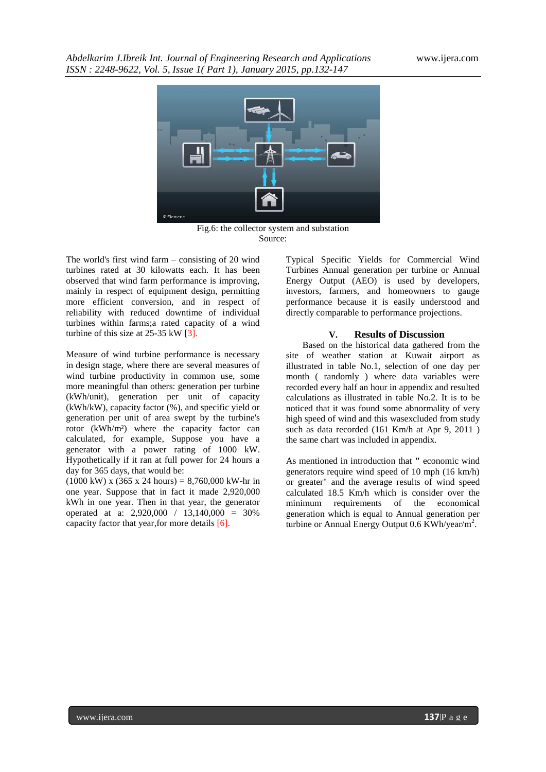*Abdelkarim J.Ibreik Int. Journal of Engineering Research and Applications* www.ijera.com *ISSN : 2248-9622, Vol. 5, Issue 1( Part 1), January 2015, pp.132-147*



Fig.6: the collector system and substation Source:

The world's first wind farm – consisting of 20 wind turbines rated at 30 kilowatts each. It has been observed that wind farm performance is improving, mainly in respect of equipment design, permitting more efficient conversion, and in respect of reliability with reduced downtime of individual turbines within farms;a rated capacity of a wind turbine of this size at 25-35 kW [3].

Measure of wind turbine performance is necessary in design stage, where there are several measures of wind turbine productivity in common use, some more meaningful than others: generation per turbine (kWh/unit), generation per unit of capacity (kWh/kW), capacity factor (%), and specific yield or generation per unit of area swept by the turbine's rotor (kWh/m²) where the capacity factor can calculated, for example, Suppose you have a generator with a power rating of 1000 kW. Hypothetically if it ran at full power for 24 hours a day for 365 days, that would be:

 $(1000 \text{ kW}) \times (365 \times 24 \text{ hours}) = 8,760,000 \text{ kW-hr in}$ one year. Suppose that in fact it made 2,920,000 kWh in one year. Then in that year, the generator operated at a: 2,920,000 / 13,140,000 = 30% capacity factor that year,for more details [6].

Typical Specific Yields for Commercial Wind Turbines Annual generation per turbine or Annual Energy Output (AEO) is used by developers, investors, farmers, and homeowners to gauge performance because it is easily understood and directly comparable to performance projections.

#### **V. Results of Discussion**

Based on the historical data gathered from the site of weather station at Kuwait airport as illustrated in table No.1, selection of one day per month ( randomly ) where data variables were recorded every half an hour in appendix and resulted calculations as illustrated in table No.2. It is to be noticed that it was found some abnormality of very high speed of wind and this wasexcluded from study such as data recorded (161 Km/h at Apr 9, 2011 ) the same chart was included in appendix.

As mentioned in introduction that **"** economic wind generators require wind speed of 10 mph (16 km/h) or greater" and the average results of wind speed calculated 18.5 Km/h which is consider over the minimum requirements of the economical generation which is equal to Annual generation per turbine or Annual Energy Output  $0.6$  KWh/year/m<sup>2</sup>.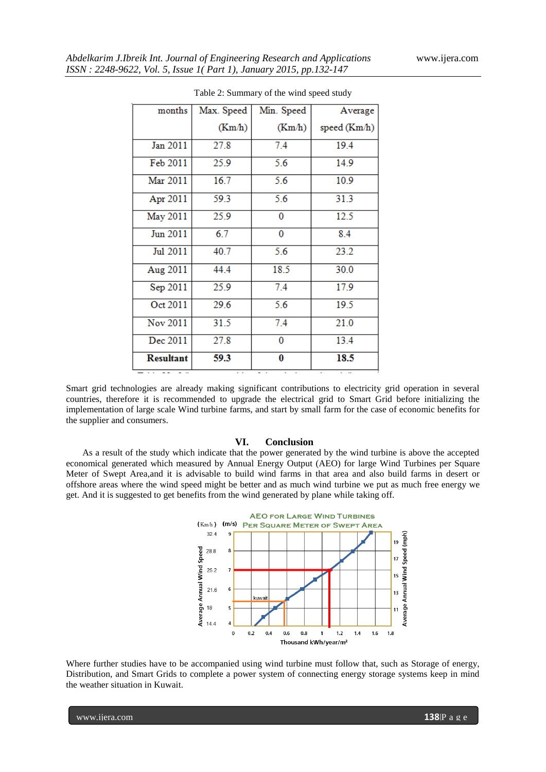| months           | Max. Speed | Min. Speed | Average      |  |  |
|------------------|------------|------------|--------------|--|--|
|                  | (Km/h)     | (Km/h)     | speed (Km/h) |  |  |
| Jan 2011         | 27.8       | 7.4        | 19.4         |  |  |
| Feb 2011         | 25.9       | 5.6        | 14.9         |  |  |
| Mar 2011         | 16.7       | 5.6        | 10.9         |  |  |
| Apr 2011         | 59.3       | 5.6        | 31.3         |  |  |
| May 2011         | 25.9       | 0          | 12.5         |  |  |
| Jun 2011         | 6.7        | 0          | 8.4          |  |  |
| Jul 2011         | 40.7       | 5.6        | 23.2         |  |  |
| Aug 2011         | 44.4       | 18.5       | 30.0         |  |  |
| Sep 2011         | 25.9       | 7.4        | 17.9         |  |  |
| Oct 2011         | 29.6       | 5.6        | 19.5         |  |  |
| Nov 2011         | 31.5       | 7.4        | 21.0         |  |  |
| Dec 2011         | 27.8       | 0          | 13.4         |  |  |
| <b>Resultant</b> | 59.3       | 0          | 18.5         |  |  |

Table 2: Summary of the wind speed study

Smart grid technologies are already making significant contributions to electricity grid operation in several countries, therefore it is recommended to upgrade the electrical grid to Smart Grid before initializing the implementation of large scale Wind turbine farms, and start by small farm for the case of economic benefits for the supplier and consumers.

#### **VI. Conclusion**

As a result of the study which indicate that the power generated by the wind turbine is above the accepted economical generated which measured by Annual Energy Output (AEO) for large Wind Turbines per Square Meter of Swept Area,and it is advisable to build wind farms in that area and also build farms in desert or offshore areas where the wind speed might be better and as much wind turbine we put as much free energy we get. And it is suggested to get benefits from the wind generated by plane while taking off.



Where further studies have to be accompanied using wind turbine must follow that, such as Storage of energy, Distribution, and Smart Grids to complete a power system of connecting energy storage systems keep in mind the weather situation in Kuwait.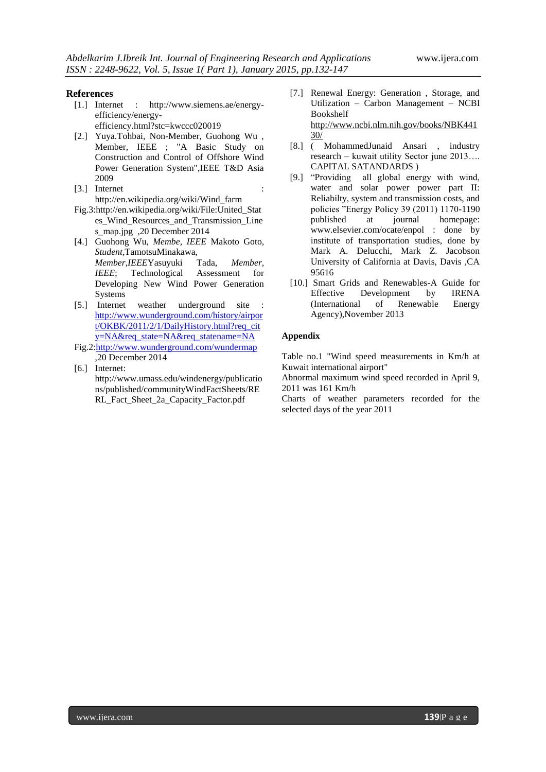## **References**

- [1.] Internet : http://www.siemens.ae/energyefficiency/energyefficiency.html?stc=kwccc020019
- [2.] Yuya.Tohbai, Non-Member, Guohong Wu , Member, IEEE ; "A Basic Study on Construction and Control of Offshore Wind Power Generation System",IEEE T&D Asia 2009
- [3.] Internet http://en.wikipedia.org/wiki/Wind\_farm
- Fig.3:http://en.wikipedia.org/wiki/File:United\_Stat es\_Wind\_Resources\_and\_Transmission\_Line s\_map.jpg ,20 December 2014
- [4.] Guohong Wu, *Membe, IEEE* Makoto Goto, *Student,*TamotsuMinakawa, *Member,IEEE*Yasuyuki Tada, *Member, IEEE*; Technological Assessment for Developing New Wind Power Generation Systems
- [5.] Internet weather underground site : [http://www.wunderground.com/history/airpor](http://www.wunderground.com/history/airport/OKBK/2011/2/1/DailyHistory.html?req_city=NA&req_state=NA&req_statename=NA) [t/OKBK/2011/2/1/DailyHistory.html?req\\_cit](http://www.wunderground.com/history/airport/OKBK/2011/2/1/DailyHistory.html?req_city=NA&req_state=NA&req_statename=NA) [y=NA&req\\_state=NA&req\\_statename=NA](http://www.wunderground.com/history/airport/OKBK/2011/2/1/DailyHistory.html?req_city=NA&req_state=NA&req_statename=NA)
- Fig.2[:http://www.wunderground.com/wundermap](http://www.wunderground.com/wundermap)  ,20 December 2014
- [6.] Internet: http://www.umass.edu/windenergy/publicatio ns/published/communityWindFactSheets/RE RL\_Fact\_Sheet\_2a\_Capacity\_Factor.pdf
- [7.] Renewal Energy: Generation , Storage, and Utilization – Carbon Management – NCBI Bookshelf [http://www.ncbi.nlm.nih.gov/books/NBK441](http://www.ncbi.nlm.nih.gov/books/NBK44130/) [30/](http://www.ncbi.nlm.nih.gov/books/NBK44130/)
- [8.] ( MohammedJunaid Ansari , industry research – kuwait utility Sector june 2013…. CAPITAL SATANDARDS )
- [9.] "Providing all global energy with wind, water and solar power power part II: Reliabilty, system and transmission costs, and policies "Energy Policy 39 (2011) 1170-1190 published at journal homepage: www.elsevier.com/ocate/enpol : done by institute of transportation studies, done by Mark A. Delucchi, Mark Z. Jacobson University of California at Davis, Davis ,CA 95616
- [10.] Smart Grids and Renewables-A Guide for Effective Development by IRENA (International of Renewable Energy Agency),November 2013

#### **Appendix**

Table no.1 "Wind speed measurements in Km/h at Kuwait international airport"

Abnormal maximum wind speed recorded in April 9, 2011 was 161 Km/h

Charts of weather parameters recorded for the selected days of the year 2011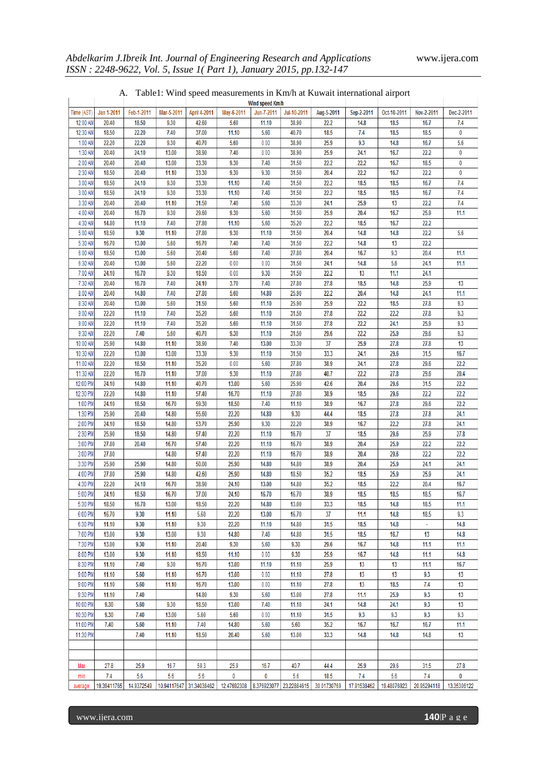|                    |                |              |                |                     |                | Wind speed Km/h |                |                                                                     |             |             |             |             |
|--------------------|----------------|--------------|----------------|---------------------|----------------|-----------------|----------------|---------------------------------------------------------------------|-------------|-------------|-------------|-------------|
| Time (AST)         | Jan 1-2011     | Feb-1-2011   | Mar-5-2011     | <b>April 4-2011</b> | May-6-2011     | Jun-7-2011      | Jul-10-2011    | Aug-5-2011                                                          | Sep-2-2011  | Oct-10-2011 | Nov-2-2011  | Dec-2-2011  |
| 12:00 AM           | 20.40          | 18.50        | 9.30           | 42.60               | 5.60           | 11.10           | 38.90          | 22.2                                                                | 14.8        | 18.5        | 16.7        | 7.4         |
| 12:30 AM           | 18.50          | 22.20        | 7.40           | 37.00               | 11.10          | 5.60            | 40.70          | 18.5                                                                | 7.4         | 18.5        | 18.5        | $\mathbf 0$ |
| 1:00 AM            | 22.20          | 22.20        | 9.30           | 40.70               | 5.60           | 0.00            | 38.90          | 25.9                                                                | 9.3         | 14.8        | 16.7        | 5.6         |
| 1:30 AM            | 20.40          | 24.10        | 13.00          | 38.90               | 7.40           | 0.00            | 38.90          | 25.9                                                                | 24.1        | 16.7        | 22.2        | 0           |
| 2:00 AM            | 20.40          | 20.40        | 13.00          | 33.30               | 9.30           | 7.40            | 31.50          | 22.2                                                                | 22.2        | 16.7        | 18.5        | $\mathbf 0$ |
| 2:30 AM            | 18.50          | 20.40        | 11.10          | 33.30               | 9.30           | 9.30            | 31.50          | 20.4                                                                | 22.2        | 16.7        | 22.2        | 0           |
| 3:00 AM            | 18.50          | 24.10        | 9.30           | 33.30               | 11.10          | 7.40            | 31.50          | 22.2                                                                | 18.5        | 18.5        | 16.7        | 7.4         |
| 3:00 AM            | 18.50          | 24.10        | 9.30           | 33.30               | 11.10          | 7.40            | 31.50          | 22.2                                                                | 18.5        | 18.5        | 16.7        | 7.4         |
| 3:30 AM            | 20.40          | 20.40        | 11.10          | 31.50               | 7.40           | 5.60            | 33.30          | 24.1                                                                | 25.9        | 13          | 22.2        | 7.4         |
| 4:00 AM            | 20.40          | 16.70        | 9.30           | 29.60               | 9.30           | 5.60            | 31.50          | 25.9                                                                | 20.4        | 16.7        | 25.9        | 11.1        |
| 4:30 AM            | 14.80          | 11.10        | 7.40           | 27.80               | 11.10          | 5.60            | 35.20          | 22.2                                                                | 18.5        | 16.7        | 22.2        |             |
| 5:00 AM            | 18.50          | 9.30         | 11.10          | 27.80               | 9.30           | 11.10           | 31.50          | 20.4                                                                | 14.8        | 14.8        | 22.2        | 5.6         |
| 5:30 AM            | 16.70          | 13.00        | 5.60           | 16.70               | 7.40           | 7.40            | 31.50          | 22.2                                                                | 14.8        | 13          | 22.2        |             |
| 6:00 AM            | 18.50          | 13.00        | 5.60           | 20.40               | 5.60           | 7.40            | 27.80          | 20.4                                                                | 16.7        | 9.3         | 20.4        | 11.1        |
| 6:30 AM            | 20.40          | 13.00        | 5.60           | 22.20               | 0.00           | 0.00            | 31.50          | 24.1                                                                | 14.8        | 5.6         | 24.1        | 11.1        |
| 7:00 AM            | 24.10          | 16.70        | 9.30           | 18.50               | 0.00           | 9.30            | 31.50          | 22.2                                                                | 13          | 11.1        | 24.1        |             |
| 7:30 AM            | 20.40          | 16.70        | 7.40           | 24.10               | 3.70           | 7.40            | 27.80          | 27.8                                                                | 18.5        | 14.8        | 25.9        | 13          |
| 8:00 AM            | 20.40          | 14.80        | 7.40           | 27.80               | 5.60           | 14.80           | 25.90          | 22.2                                                                | 20.4        | 14.8        | 24.1        | 11.1        |
| 8:30 AM            | 20.40          | 13.00        | 5.60           | 31.50               | 5.60           | 11.10           | 25.90          | 25.9                                                                | 22.2        | 18.5        | 27.8        | 9.3         |
| 9:00 AM            | 22.20          | 11.10        | 7.40           | 35.20               | 5.60           | 11.10           | 31.50          | 27.8                                                                | 22.2        | 22.2        | 27.8        | 9.3         |
| 9:00 AM            | 22.20          | 11.10        | 7.40           | 35.20               | 5.60           | 11.10           | 31.50          | 27.8                                                                | 22.2        | 24.1        | 25.9        | 9.3         |
| 9:30 AM            | 22.20          | 7.40         | 5.60           | 40.70               | 9.30           | 11.10           | 31.50          | 29.6                                                                | 22.2        | 25.9        | 29.6        | 9.3         |
| 10:00 AM           | 25.90          | 14.80        | 11.10          | 38.90               | 7.40           | 13.00           | 33.30          | 37                                                                  | 25.9        | 27.8        | 27.8        | 13          |
| 10:30 AM           | 22.20          | 13.00        | 13.00          | 33.30               | 9.30           | 11.10           | 31.50          | 33.3                                                                | 24.1        | 29.6        | 31.5        | 16.7        |
| 11:00 AM           | 22.20          | 18.50        | 11.10          | 35.20               | 0.00           | 5.60            | 27.80          | 38.9                                                                | 24.1        | 27.8        | 29.6        | 22.2        |
| 11:30 AM           | 22.20          | 16.70        | 11.10          | 37.00               | 9.30           | 11.10           | 27.80          | 40.7                                                                | 22.2        | 27.8        | 29.6        | 20.4        |
| 12:00 PM           | 24.10          | 14.80        | 11.10          | 40.70               | 13.00          | 5.60            | 25.90          | 42.6                                                                | 20.4        | 29.6        | 31.5        | 22.2        |
| 12:30 PM           | 22.20          | 14.80        | 11.10          | 57.40               | 16.70          | 11.10           | 27.80          | 38.9                                                                | 18.5        | 29.6        | 22.2        | 22.2        |
| 1:00 PM            | 24.10          | 18.50        | 16.70          | 59.30               | 18.50          | 7.40            | 11.10          | 38.9                                                                | 16.7        | 27.8        | 29.6        | 22.2        |
| 1:30 PM            | 25.90          | 20.40        | 14.80          | 55.60               | 22.20          | 14.80           | 9.30           | 44.4                                                                | 18.5        | 27.8        | 27.8        | 24.1        |
| 2:00 PM            | 24.10          | 18.50        | 14.80          | 53.70               | 25.90          | 9.30            | 22.20          | 38.9                                                                | 16.7        | 22.2        | 27.8        | 24.1        |
| 2:30 PM            | 25.90          | 18.50        | 14.80          | 57.40               | 22.20          | 11.10           | 16.70          | 37                                                                  | 18.5        | 29.6        | 25.9        | 27.8        |
| 3:00 PM            | 27.80          | 20.40        | 16.70          | 57.40               | 22.20          | 11.10           | 16.70          | 38.9                                                                | 20.4        | 25.9        | 22.2        | 22.2        |
| 3:00 PM            | 27.80          |              | 14.80          | 57.40               | 22.20          | 11.10           | 16.70          | 38.9                                                                | 20.4        | 29.6        | 22.2        | 22.2        |
| 3:30 PM            | 25.90          | 25.90        | 14.80          | 50.00               | 25.90          | 14.80           | 14.80          | 38.9                                                                | 20.4        | 25.9        | 24.1        | 24.1        |
| 4:00 PM            | 27.80          | 25.90        | 14.80          | 42.60               | 25.90          | 14.80           | 18.50          | 35.2                                                                | 18.5        | 25.9        | 25.9        | 24.1        |
| 4:30 PM            | 22.20          | 24.10        | 16.70          | 38.90               | 24.10          | 13.00           | 14.80          | 35.2                                                                | 18.5        | 22.2        | 20.4        | 16.7        |
| 5:00 PM            | 24.10          | 18.50        | 16.70          | 37.00               | 24.10          | 16.70           | 16.70          | 38.9                                                                | 18.5        | 18.5        | 18.5        | 16.7        |
| 5:30 PM            | 18.50          | 16.70        | 13.00          | 18.50               | 22.20          | 14.80           | 13.00          | 33.3                                                                | 18.5        | 14.8        | 18.5        | 11.1        |
| 6:00 PM            | 16.70          | 9.30         | 11.10          | 5.60                | 22.20          | 13.00           | 16.70          | 37                                                                  | 11.1        | 14.8        | 18.5        | 9.3         |
| 6:30 PM            | 11.10          | 9.30         | 11.10          | 9.30                | 22.20          | 11.10           | 14.80          | 31.5                                                                | 18.5        | 14.8        |             | 14.8        |
| 7:00 PM            | 13.00          | 9.30         | 13.00          | 9.30                | 14.80          | 7.40            | 14.80          | 31.5                                                                | 18.5        | 16.7        | 13          | 14.8        |
| 7:30 PM            | 13.00          | 9.30         | 11.10          | 20.40               | 9.30           | 5.60            | 9.30           | 29.6                                                                | 16.7        | 14.8        | 11.1        | 11.1        |
| 8:00 PM            | 13.00          | 9.30         | 11.10          | 18.50               | 11.10          | 0.00            | 9.30           | 25.9                                                                | 16.7        | 14.8        | 11.1        | 14.8        |
| 8:30 PM            | 11.10          | 7.40         | 9.30           | 16.70               | 13.00          | 11.10           | 11.10          | 25.9                                                                | 13          | 13<br>13    | 11.1<br>9.3 | 16.7        |
| 9:00 PM<br>9:00 PM | 11.10<br>11.10 | 5.60<br>5.60 | 11.10<br>11.10 | 16.70<br>16.70      | 13.00<br>13.00 | 0.00<br>0.00    | 11.10<br>11.10 | 27.8<br>27.8                                                        | 13<br>13    | 18.5        | 7.4         | 13<br>13    |
| 9:30 PM            |                | 7.40         |                |                     | 9.30           | 5.60            |                | 27.8                                                                | 11.1        | 25.9        | 9.3         | 13          |
| 10:00 PM           | 11.10          | 5.60         | 9.30           | 14.80               |                |                 | 13.00          | 24.1                                                                | 14.8        | 24.1        | 9.3         | 13          |
| 10:30 PM           | 9.30<br>9.30   | 7.40         | 13.00          | 18.50<br>5.60       | 13.00<br>5.60  | 7.40<br>0.00    | 11.10<br>11.10 | 31.5                                                                | 9.3         | 9.3         | 9.3         | 9.3         |
| 11:00 PM           | 7.40           | 5.60         | 11.10          | 7.40                | 14.80          | 5.60            | 5.60           | 35.2                                                                | 16.7        | 16.7        | 16.7        | 11.1        |
| 11:30 PM           |                | 7.40         | 11.10          | 18.50               | 20.40          | 5.60            | 13.00          | 33.3                                                                | 14.8        | 14.8        | 14.8        | 13          |
|                    |                |              |                |                     |                |                 |                |                                                                     |             |             |             |             |
|                    |                |              |                |                     |                |                 |                |                                                                     |             |             |             |             |
|                    | 27.8           |              | 16.7           |                     |                |                 | 40.7           | 44.4                                                                |             |             |             |             |
| Мах<br>min         | 7.4            | 25.9<br>5.6  | 5.6            | 59.3<br>5.6         | 25.9<br>0      | 16.7<br>0       | 5.6            | 18.5                                                                | 25.9<br>7.4 | 29.6<br>5.6 | 31.5<br>7.4 | 27.8<br>0   |
| average            | 19.39411765    |              |                |                     |                |                 |                | 8.376923077   23.22884615   30.01730769   17.91538462   19.48076923 |             |             | 20.95294118 | 13.35306122 |

# A. Table1: Wind speed measurements in Km/h at Kuwait international airport

www.ijera.com **140**|P a g e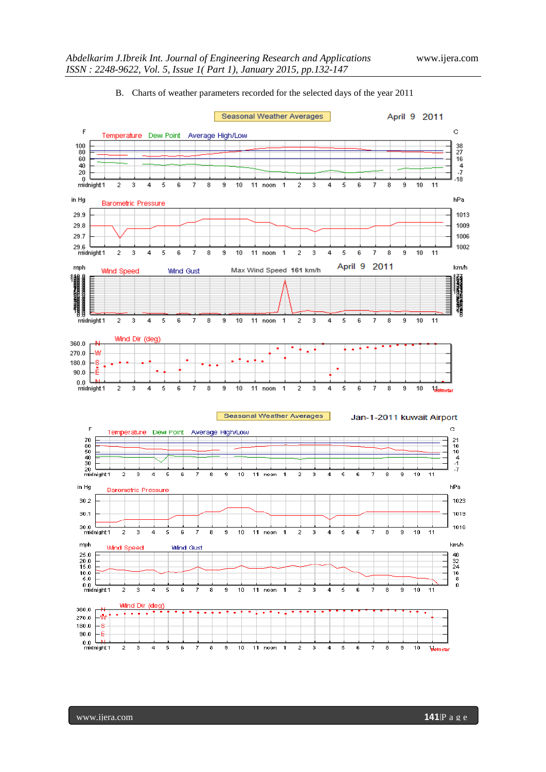

# B. Charts of weather parameters recorded for the selected days of the year 2011

www.ijera.com **141**|P a g e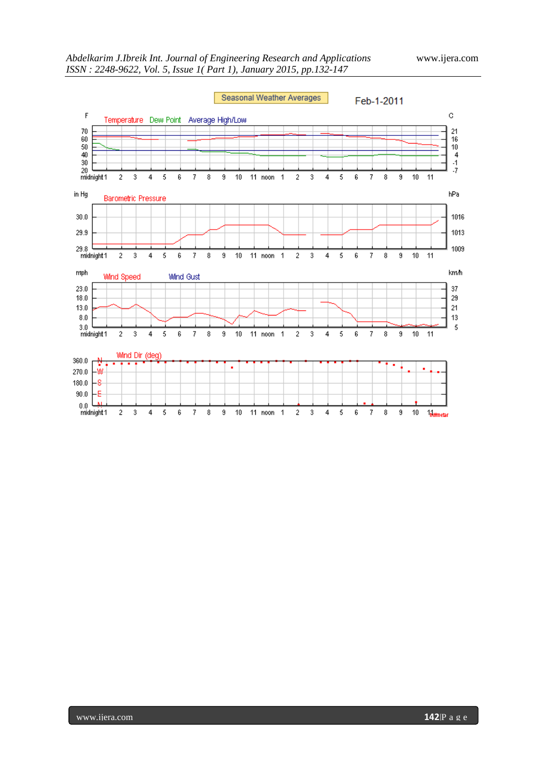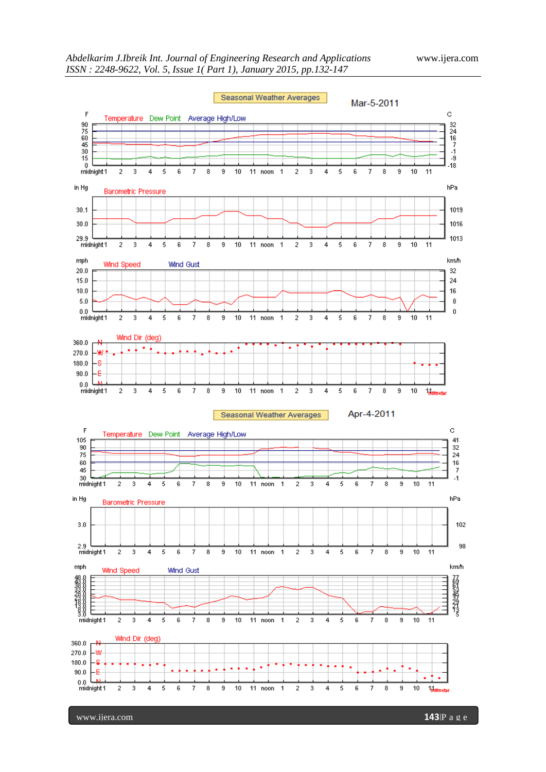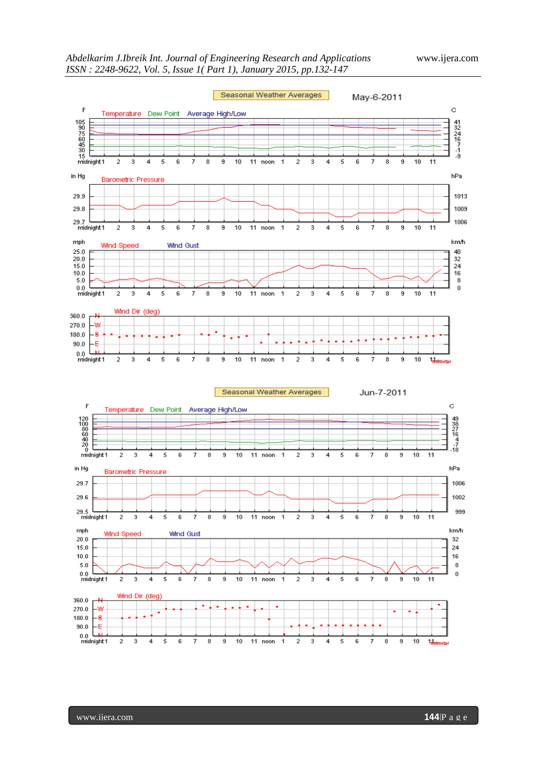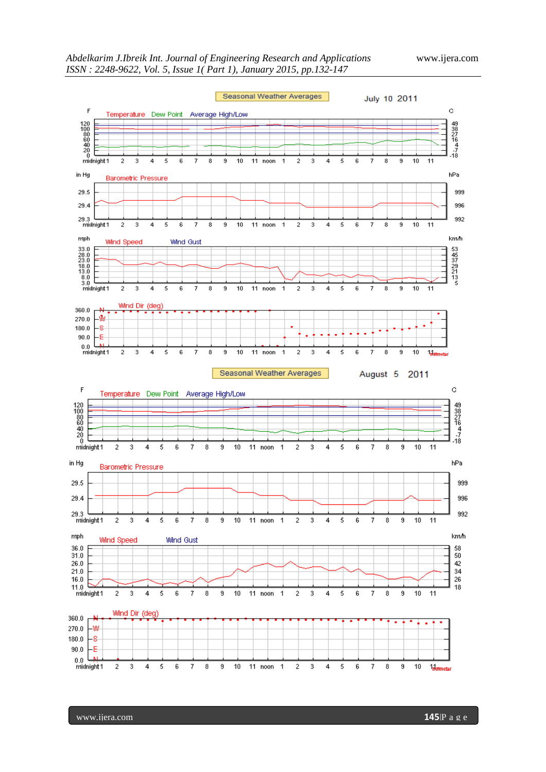

www.ijera.com **145**|P a g e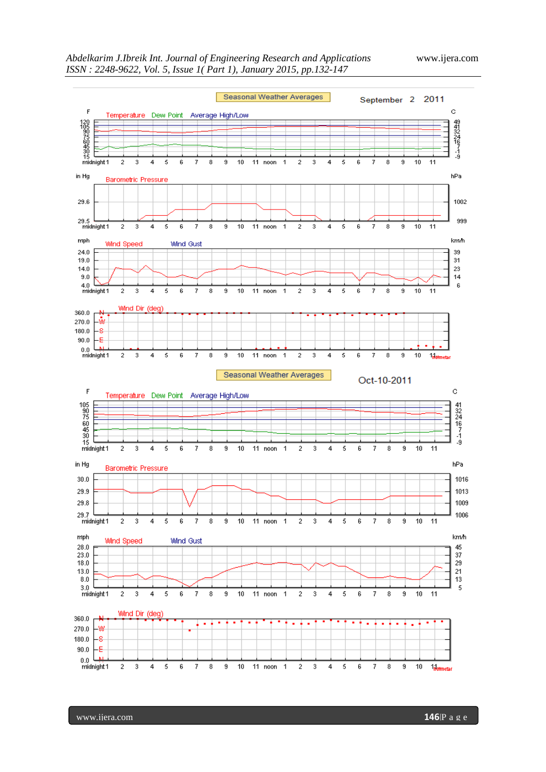$\overline{F}$ 

in Hg

29.6

mph

 $24.0$ 

19.0

14.0

 $9.0$ 

360.0 270.0

180.0

 $90.0$ 

 $\overline{F}$ 

in Hg

 $30.0$ 

29.9

29.8 29.7

mph

28.0

23.0

18.0

13.0

 $8.0$ 

 $3.0$ midnight 1





11 noon

 $\overline{1}$  $\overline{2}$ 3  $\boldsymbol{4}$ 5 6 7 8 9 10  $11$ 

 $\overline{c}$ 3  $\overline{4}$  $\overline{5}$ -6  $\overline{7}$ 8 9  $10$  Ĩ5